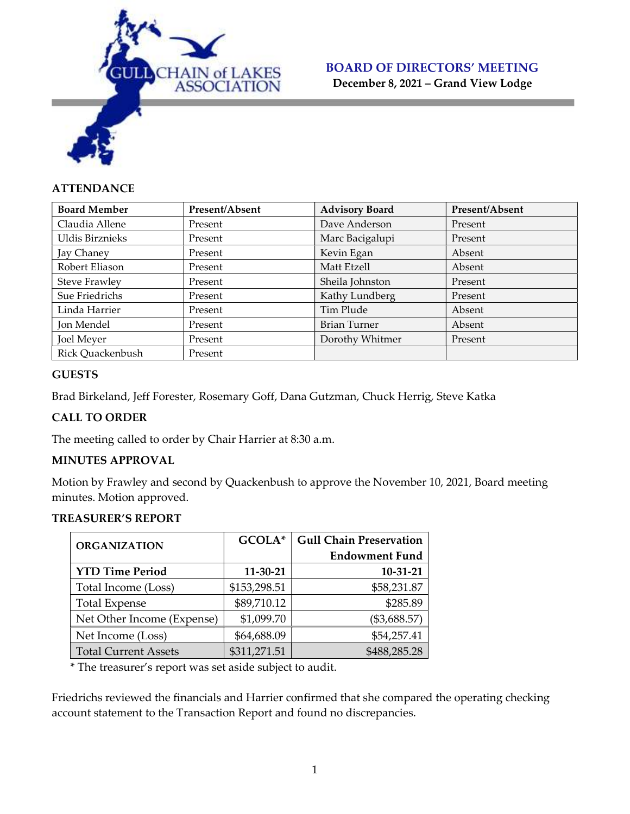

December 8, 2021 – Grand View Lodge

### **ATTENDANCE**

| <b>Board Member</b>  | Present/Absent | <b>Advisory Board</b> | Present/Absent |
|----------------------|----------------|-----------------------|----------------|
| Claudia Allene       | Present        | Dave Anderson         | Present        |
| Uldis Birznieks      | Present        | Marc Bacigalupi       | Present        |
| Jay Chaney           | Present        | Kevin Egan            | Absent         |
| Robert Eliason       | Present        | Matt Etzell           | Absent         |
| <b>Steve Frawley</b> | Present        | Sheila Johnston       | Present        |
| Sue Friedrichs       | Present        | Kathy Lundberg        | Present        |
| Linda Harrier        | Present        | Tim Plude             | Absent         |
| Jon Mendel           | Present        | Brian Turner          | Absent         |
| Joel Meyer           | Present        | Dorothy Whitmer       | Present        |
| Rick Quackenbush     | Present        |                       |                |

### **GUESTS**

Brad Birkeland, Jeff Forester, Rosemary Goff, Dana Gutzman, Chuck Herrig, Steve Katka

### CALL TO ORDER

The meeting called to order by Chair Harrier at 8:30 a.m.

### MINUTES APPROVAL

Motion by Frawley and second by Quackenbush to approve the November 10, 2021, Board meeting minutes. Motion approved.

#### TREASURER'S REPORT

| <b>ORGANIZATION</b>         | GCOLA*       | <b>Gull Chain Preservation</b> |  |
|-----------------------------|--------------|--------------------------------|--|
|                             |              | <b>Endowment Fund</b>          |  |
| <b>YTD Time Period</b>      | 11-30-21     | 10-31-21                       |  |
| Total Income (Loss)         | \$153,298.51 | \$58,231.87                    |  |
| <b>Total Expense</b>        | \$89,710.12  | \$285.89                       |  |
| Net Other Income (Expense)  | \$1,099.70   | (\$3,688.57)                   |  |
| Net Income (Loss)           | \$64,688.09  | \$54,257.41                    |  |
| <b>Total Current Assets</b> | \$311,271.51 | \$488,285.28                   |  |

\* The treasurer's report was set aside subject to audit.

Friedrichs reviewed the financials and Harrier confirmed that she compared the operating checking account statement to the Transaction Report and found no discrepancies.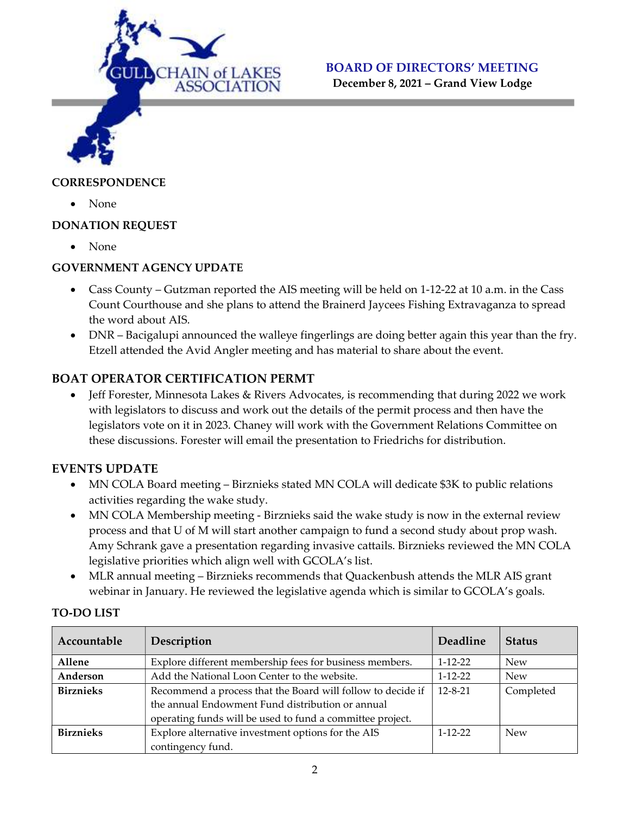

December 8, 2021 – Grand View Lodge

### **CORRESPONDENCE**

• None

### DONATION REQUEST

• None

### GOVERNMENT AGENCY UPDATE

- Cass County Gutzman reported the AIS meeting will be held on 1-12-22 at 10 a.m. in the Cass Count Courthouse and she plans to attend the Brainerd Jaycees Fishing Extravaganza to spread the word about AIS.
- DNR Bacigalupi announced the walleye fingerlings are doing better again this year than the fry. Etzell attended the Avid Angler meeting and has material to share about the event.

### BOAT OPERATOR CERTIFICATION PERMT

 Jeff Forester, Minnesota Lakes & Rivers Advocates, is recommending that during 2022 we work with legislators to discuss and work out the details of the permit process and then have the legislators vote on it in 2023. Chaney will work with the Government Relations Committee on these discussions. Forester will email the presentation to Friedrichs for distribution.

### EVENTS UPDATE

- MN COLA Board meeting Birznieks stated MN COLA will dedicate \$3K to public relations activities regarding the wake study.
- MN COLA Membership meeting Birznieks said the wake study is now in the external review process and that U of M will start another campaign to fund a second study about prop wash. Amy Schrank gave a presentation regarding invasive cattails. Birznieks reviewed the MN COLA legislative priorities which align well with GCOLA's list.
- MLR annual meeting Birznieks recommends that Quackenbush attends the MLR AIS grant webinar in January. He reviewed the legislative agenda which is similar to GCOLA's goals.

| Accountable      | Description                                                 | Deadline      | <b>Status</b> |
|------------------|-------------------------------------------------------------|---------------|---------------|
| Allene           | Explore different membership fees for business members.     | $1 - 12 - 22$ | <b>New</b>    |
| Anderson         | Add the National Loon Center to the website.                | $1 - 12 - 22$ | <b>New</b>    |
| <b>Birznieks</b> | Recommend a process that the Board will follow to decide if | $12 - 8 - 21$ | Completed     |
|                  | the annual Endowment Fund distribution or annual            |               |               |
|                  | operating funds will be used to fund a committee project.   |               |               |
| <b>Birznieks</b> | Explore alternative investment options for the AIS          | $1 - 12 - 22$ | <b>New</b>    |
|                  | contingency fund.                                           |               |               |

### TO-DO LIST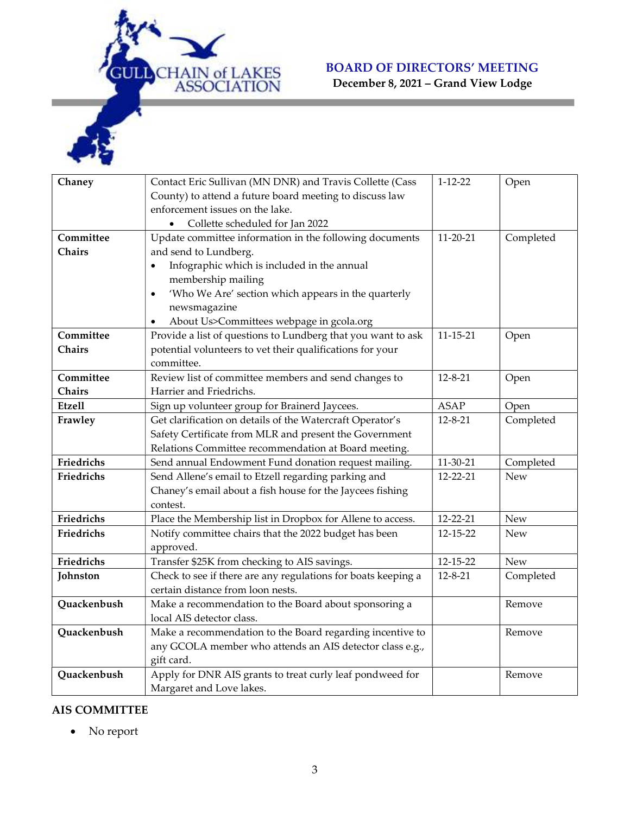

December 8, 2021 – Grand View Lodge

| Chaney        | Contact Eric Sullivan (MN DNR) and Travis Collette (Cass         | $1 - 12 - 22$  | Open       |
|---------------|------------------------------------------------------------------|----------------|------------|
|               | County) to attend a future board meeting to discuss law          |                |            |
|               | enforcement issues on the lake.                                  |                |            |
|               | Collette scheduled for Jan 2022<br>$\bullet$                     |                |            |
| Committee     | Update committee information in the following documents          | $11 - 20 - 21$ | Completed  |
| Chairs        | and send to Lundberg.                                            |                |            |
|               | Infographic which is included in the annual                      |                |            |
|               | membership mailing                                               |                |            |
|               | 'Who We Are' section which appears in the quarterly<br>$\bullet$ |                |            |
|               | newsmagazine                                                     |                |            |
|               | About Us>Committees webpage in gcola.org                         |                |            |
| Committee     | Provide a list of questions to Lundberg that you want to ask     | $11 - 15 - 21$ | Open       |
| Chairs        | potential volunteers to vet their qualifications for your        |                |            |
|               | committee.                                                       |                |            |
| Committee     | Review list of committee members and send changes to             | $12 - 8 - 21$  | Open       |
| Chairs        | Harrier and Friedrichs.                                          |                |            |
| <b>Etzell</b> | Sign up volunteer group for Brainerd Jaycees.                    | <b>ASAP</b>    | Open       |
| Frawley       | Get clarification on details of the Watercraft Operator's        | $12 - 8 - 21$  | Completed  |
|               | Safety Certificate from MLR and present the Government           |                |            |
|               | Relations Committee recommendation at Board meeting.             |                |            |
| Friedrichs    | Send annual Endowment Fund donation request mailing.             | 11-30-21       | Completed  |
| Friedrichs    | Send Allene's email to Etzell regarding parking and              | 12-22-21       | <b>New</b> |
|               | Chaney's email about a fish house for the Jaycees fishing        |                |            |
|               | contest.                                                         |                |            |
| Friedrichs    | Place the Membership list in Dropbox for Allene to access.       | 12-22-21       | New        |
| Friedrichs    | Notify committee chairs that the 2022 budget has been            | 12-15-22       | <b>New</b> |
|               | approved.                                                        |                |            |
| Friedrichs    | Transfer \$25K from checking to AIS savings.                     | 12-15-22       | <b>New</b> |
| Johnston      | Check to see if there are any regulations for boats keeping a    | $12 - 8 - 21$  | Completed  |
|               | certain distance from loon nests.                                |                |            |
| Quackenbush   | Make a recommendation to the Board about sponsoring a            |                | Remove     |
|               | local AIS detector class.                                        |                |            |
| Quackenbush   | Make a recommendation to the Board regarding incentive to        |                | Remove     |
|               | any GCOLA member who attends an AIS detector class e.g.,         |                |            |
|               | gift card.                                                       |                |            |
| Quackenbush   | Apply for DNR AIS grants to treat curly leaf pondweed for        |                | Remove     |
|               | Margaret and Love lakes.                                         |                |            |

## AIS COMMITTEE

• No report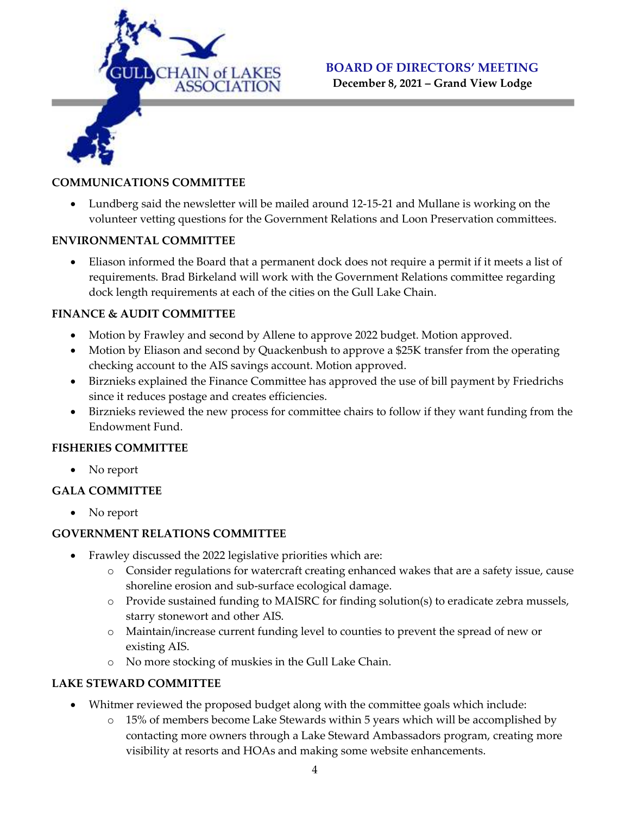

December 8, 2021 – Grand View Lodge

### COMMUNICATIONS COMMITTEE

 Lundberg said the newsletter will be mailed around 12-15-21 and Mullane is working on the volunteer vetting questions for the Government Relations and Loon Preservation committees.

### ENVIRONMENTAL COMMITTEE

 Eliason informed the Board that a permanent dock does not require a permit if it meets a list of requirements. Brad Birkeland will work with the Government Relations committee regarding dock length requirements at each of the cities on the Gull Lake Chain.

### FINANCE & AUDIT COMMITTEE

- Motion by Frawley and second by Allene to approve 2022 budget. Motion approved.
- Motion by Eliason and second by Quackenbush to approve a \$25K transfer from the operating checking account to the AIS savings account. Motion approved.
- Birznieks explained the Finance Committee has approved the use of bill payment by Friedrichs since it reduces postage and creates efficiencies.
- Birznieks reviewed the new process for committee chairs to follow if they want funding from the Endowment Fund.

### FISHERIES COMMITTEE

• No report

### GALA COMMITTEE

• No report

### GOVERNMENT RELATIONS COMMITTEE

- Frawley discussed the 2022 legislative priorities which are:
	- o Consider regulations for watercraft creating enhanced wakes that are a safety issue, cause shoreline erosion and sub-surface ecological damage.
	- o Provide sustained funding to MAISRC for finding solution(s) to eradicate zebra mussels, starry stonewort and other AIS.
	- o Maintain/increase current funding level to counties to prevent the spread of new or existing AIS.
	- o No more stocking of muskies in the Gull Lake Chain.

### LAKE STEWARD COMMITTEE

- Whitmer reviewed the proposed budget along with the committee goals which include:
	- o 15% of members become Lake Stewards within 5 years which will be accomplished by contacting more owners through a Lake Steward Ambassadors program, creating more visibility at resorts and HOAs and making some website enhancements.